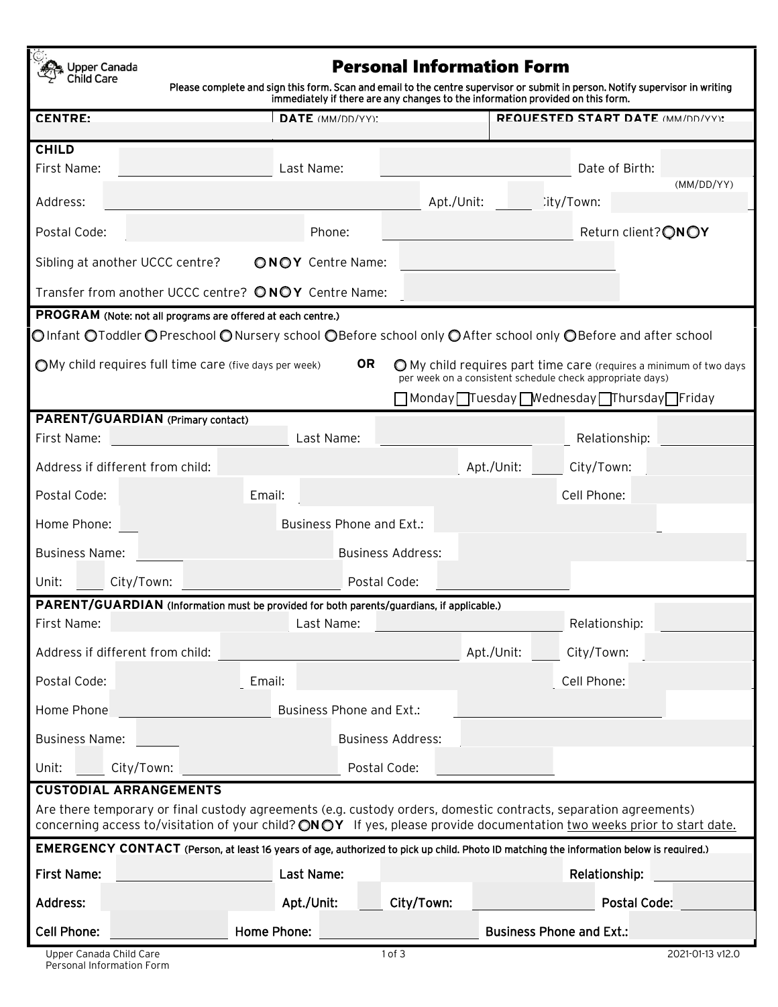Personal Information Form Upper Canada Child Care Please complete and sign this form. Scan and email to the centre supervisor or submit in person. Notify supervisor in writing immediately if there are any changes to the information provided on this form. **CENTRE: DATE** (MM/DD/YY): **REQUESTED START DATE** (MM/DD/YY)**: CHILD** First Name: Last Name: Date of Birth: (MM/DD/YY) Address: Address: Address: City/Town: City/Town: City/Town: City/Town: City/Town: City/Town: City/Town: City/Town: City/Town: City/Town: City/Town: City/Town: City/Town: City/Town: City/Town: City/Town: City/Town: City/Tow Postal Code: **Postal Code:** Phone: **Phone:** Phone: Return client? **ON OY** Sibling at another UCCC centre? **ONOY** Centre Name: **Transfer from another UCCC centre? <b>ONOY** Centre Name: **PROGRAM** (Note: not all programs are offered at each centre.) **Olnfant OToddler OPreschool ONursery school OBefore school only OAfter school only OBefore and after school ○My child requires full time care (five days per week) OR** ○My child requires part time care (requires a minimum of two days per week on a consistent schedule check appropriate days) Monday Tuesday Wednesday Thursday Friday **PARENT/GUARDIAN** (Primary contact) First Name: Last Name: Relationship: Address if different from child: Apt./Unit: City/Town: Postal Code: Email: Cell Phone: Home Phone: Business Phone and Ext.: Business Name: Business Address: Unit: City/Town: City/Town: Postal Code: **PARENT/GUARDIAN** (Information must be provided for both parents/guardians, if applicable.) First Name: Last Name: Relationship: Address if different from child: Apt./Unit: City/Town: Postal Code: Email: Cell Phone: Home Phone: Business Phone and Ext.: Business Name: Business Address: Unit: City/Town: City/Town: Postal Code: **CUSTODIAL ARRANGEMENTS** Are there temporary or final custody agreements (e.g. custody orders, domestic contracts, separation agreements) concerning access to/visitation of your child? **ON OY** If yes, please provide documentation two weeks prior to start date. **EMERGENCY CONTACT** (Person, at least 16 years of age, authorized to pick up child. Photo ID matching the information below is required.) First Name: Last Name: Relationship: Address: Apt./Unit: City/Town: Postal Code: Cell Phone: **External Phone:** Home Phone: Business Phone and Ext.: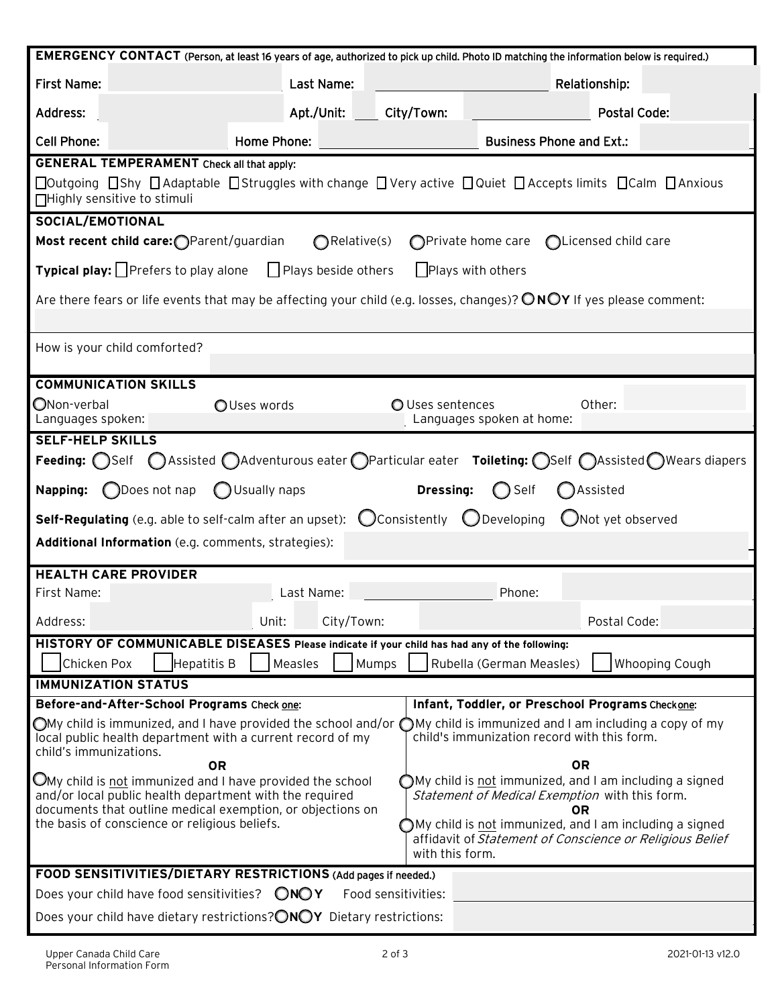| EMERGENCY CONTACT (Person, at least 16 years of age, authorized to pick up child. Photo ID matching the information below is required.)                                                                                                                                                                                                                                                                                                                                                                                                            |                     |                  |                                 |                       |  |  |
|----------------------------------------------------------------------------------------------------------------------------------------------------------------------------------------------------------------------------------------------------------------------------------------------------------------------------------------------------------------------------------------------------------------------------------------------------------------------------------------------------------------------------------------------------|---------------------|------------------|---------------------------------|-----------------------|--|--|
| First Name:                                                                                                                                                                                                                                                                                                                                                                                                                                                                                                                                        | Last Name:          |                  |                                 | Relationship:         |  |  |
| Address:                                                                                                                                                                                                                                                                                                                                                                                                                                                                                                                                           | Apt./Unit:          | City/Town:       |                                 | <b>Postal Code:</b>   |  |  |
| <b>Cell Phone:</b>                                                                                                                                                                                                                                                                                                                                                                                                                                                                                                                                 | Home Phone:         |                  | <b>Business Phone and Ext.:</b> |                       |  |  |
| <b>GENERAL TEMPERAMENT</b> Check all that apply:                                                                                                                                                                                                                                                                                                                                                                                                                                                                                                   |                     |                  |                                 |                       |  |  |
| $\Box$ Outgoing $\Box$ Shy $\Box$ Adaptable $\Box$ Struggles with change $\Box$ Very active $\Box$ Quiet $\Box$ Accepts limits $\Box$ Calm $\Box$ Anxious<br>□Highly sensitive to stimuli                                                                                                                                                                                                                                                                                                                                                          |                     |                  |                                 |                       |  |  |
| SOCIAL/EMOTIONAL                                                                                                                                                                                                                                                                                                                                                                                                                                                                                                                                   |                     |                  |                                 |                       |  |  |
| Most recent child care: OParent/guardian<br>∩Relative(s)<br>◯Private home care<br>◯Licensed child care                                                                                                                                                                                                                                                                                                                                                                                                                                             |                     |                  |                                 |                       |  |  |
| <b>Typical play:</b> Prefers to play alone $\Box$ Plays beside others<br>$\Box$ Plays with others                                                                                                                                                                                                                                                                                                                                                                                                                                                  |                     |                  |                                 |                       |  |  |
| Are there fears or life events that may be affecting your child (e.g. losses, changes)? ONOY If yes please comment:                                                                                                                                                                                                                                                                                                                                                                                                                                |                     |                  |                                 |                       |  |  |
|                                                                                                                                                                                                                                                                                                                                                                                                                                                                                                                                                    |                     |                  |                                 |                       |  |  |
| How is your child comforted?                                                                                                                                                                                                                                                                                                                                                                                                                                                                                                                       |                     |                  |                                 |                       |  |  |
| <b>COMMUNICATION SKILLS</b>                                                                                                                                                                                                                                                                                                                                                                                                                                                                                                                        |                     |                  |                                 |                       |  |  |
| ONon-verbal<br>Languages spoken:                                                                                                                                                                                                                                                                                                                                                                                                                                                                                                                   | OUses words         | O Uses sentences | Languages spoken at home:       | Other:                |  |  |
| <b>SELF-HELP SKILLS</b>                                                                                                                                                                                                                                                                                                                                                                                                                                                                                                                            |                     |                  |                                 |                       |  |  |
| ○Assisted ○Adventurous eater ○Particular eater Toileting: ○Self ○Assisted ○Wears diapers<br><b>Feeding:</b> Self                                                                                                                                                                                                                                                                                                                                                                                                                                   |                     |                  |                                 |                       |  |  |
| ◯Does not nap<br>Napping:                                                                                                                                                                                                                                                                                                                                                                                                                                                                                                                          | ◯ Usually naps      | <b>Dressing:</b> | ◯ Self                          | Assisted              |  |  |
| <b>Self-Regulating</b> (e.g. able to self-calm after an upset): $\bigcirc$ Consistently $\bigcirc$ Developing<br>ONot yet observed                                                                                                                                                                                                                                                                                                                                                                                                                 |                     |                  |                                 |                       |  |  |
| Additional Information (e.g. comments, strategies):                                                                                                                                                                                                                                                                                                                                                                                                                                                                                                |                     |                  |                                 |                       |  |  |
| <b>HEALTH CARE PROVIDER</b>                                                                                                                                                                                                                                                                                                                                                                                                                                                                                                                        |                     |                  |                                 |                       |  |  |
| First Name:                                                                                                                                                                                                                                                                                                                                                                                                                                                                                                                                        | Last Name:          |                  | Phone:                          |                       |  |  |
| Address:                                                                                                                                                                                                                                                                                                                                                                                                                                                                                                                                           | Unit:<br>City/Town: |                  |                                 | Postal Code:          |  |  |
| HISTORY OF COMMUNICABLE DISEASES Please indicate if your child has had any of the following:                                                                                                                                                                                                                                                                                                                                                                                                                                                       |                     |                  |                                 |                       |  |  |
| Hepatitis B<br>Chicken Pox                                                                                                                                                                                                                                                                                                                                                                                                                                                                                                                         | Measles             | Mumps            | Rubella (German Measles)        | <b>Whooping Cough</b> |  |  |
| <b>IMMUNIZATION STATUS</b>                                                                                                                                                                                                                                                                                                                                                                                                                                                                                                                         |                     |                  |                                 |                       |  |  |
| Before-and-After-School Programs Check one:<br>Infant, Toddler, or Preschool Programs Checkone:                                                                                                                                                                                                                                                                                                                                                                                                                                                    |                     |                  |                                 |                       |  |  |
| $\bigcirc$ My child is immunized, and I have provided the school and/or<br>$\bigcirc$ My child is immunized and I am including a copy of my<br>local public health department with a current record of my<br>child's immunization record with this form.<br>child's immunizations.                                                                                                                                                                                                                                                                 |                     |                  |                                 |                       |  |  |
| 0R<br>0R<br>$\mathbb{O}$ My child is not immunized and I have provided the school<br>$\bigcap$ My child is not immunized, and I am including a signed<br>and/or local public health department with the required<br>Statement of Medical Exemption with this form.<br>documents that outline medical exemption, or objections on<br>OR<br>the basis of conscience or religious beliefs.<br>$\bigcirc$ My child is <u>not</u> immunized, and I am including a signed<br>affidavit of Statement of Conscience or Religious Belief<br>with this form. |                     |                  |                                 |                       |  |  |
| FOOD SENSITIVITIES/DIETARY RESTRICTIONS (Add pages if needed.)                                                                                                                                                                                                                                                                                                                                                                                                                                                                                     |                     |                  |                                 |                       |  |  |
| Does your child have food sensitivities?<br>ONOY<br>Food sensitivities:                                                                                                                                                                                                                                                                                                                                                                                                                                                                            |                     |                  |                                 |                       |  |  |
| Does your child have dietary restrictions? ONOY Dietary restrictions:                                                                                                                                                                                                                                                                                                                                                                                                                                                                              |                     |                  |                                 |                       |  |  |